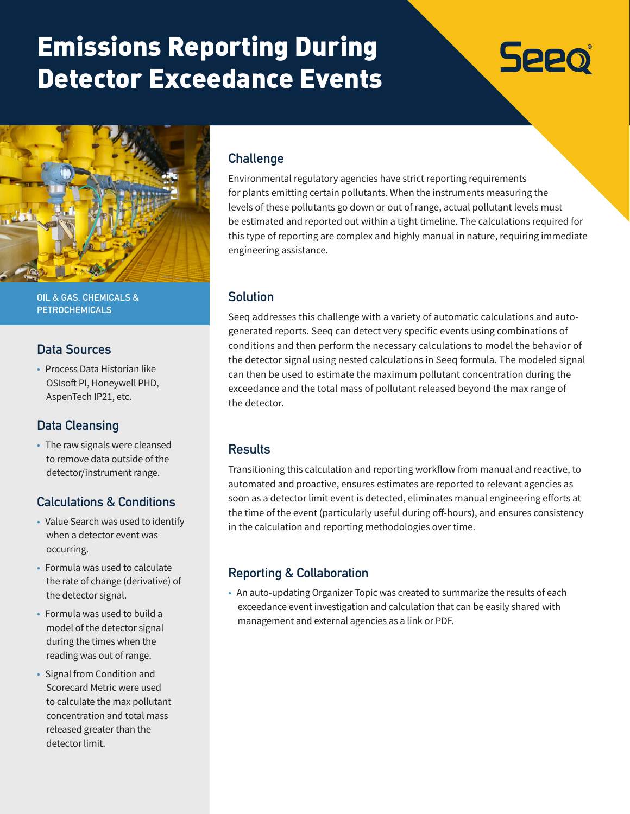# Emissions Reporting During Detector Exceedance Events





**OIL & GAS, CHEMICALS & PETROCHEMICALS**

#### **Data Sources**

• Process Data Historian like OSIsoft PI, Honeywell PHD, AspenTech IP21, etc.

# **Data Cleansing**

• The raw signals were cleansed to remove data outside of the detector/instrument range.

# **Calculations & Conditions**

- Value Search was used to identify when a detector event was occurring.
- Formula was used to calculate the rate of change (derivative) of the detector signal.
- Formula was used to build a model of the detector signal during the times when the reading was out of range.
- Signal from Condition and Scorecard Metric were used to calculate the max pollutant concentration and total mass released greater than the detector limit.

### **Challenge**

Environmental regulatory agencies have strict reporting requirements for plants emitting certain pollutants. When the instruments measuring the levels of these pollutants go down or out of range, actual pollutant levels must be estimated and reported out within a tight timeline. The calculations required for this type of reporting are complex and highly manual in nature, requiring immediate engineering assistance.

#### **Solution**

Seeq addresses this challenge with a variety of automatic calculations and autogenerated reports. Seeq can detect very specific events using combinations of conditions and then perform the necessary calculations to model the behavior of the detector signal using nested calculations in Seeq formula. The modeled signal can then be used to estimate the maximum pollutant concentration during the exceedance and the total mass of pollutant released beyond the max range of the detector.

#### **Results**

Transitioning this calculation and reporting workflow from manual and reactive, to automated and proactive, ensures estimates are reported to relevant agencies as soon as a detector limit event is detected, eliminates manual engineering efforts at the time of the event (particularly useful during off-hours), and ensures consistency in the calculation and reporting methodologies over time.

# **Reporting & Collaboration**

• An auto-updating Organizer Topic was created to summarize the results of each exceedance event investigation and calculation that can be easily shared with management and external agencies as a link or PDF.